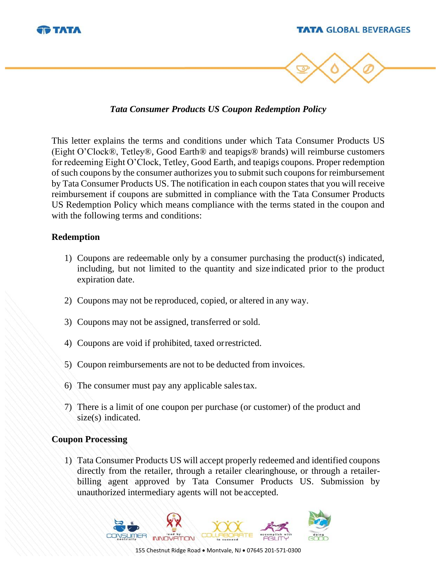

*Tata Consumer Products US Coupon Redemption Policy*

This letter explains the terms and conditions under which Tata Consumer Products US (Eight O'Clock®, Tetley®, Good Earth® and teapigs® brands) will reimburse customers for redeeming Eight O'Clock, Tetley, Good Earth, and teapigs coupons. Proper redemption of such coupons by the consumer authorizes you to submit such coupons for reimbursement by Tata Consumer Products US. The notification in each coupon states that you will receive reimbursement if coupons are submitted in compliance with the Tata Consumer Products US Redemption Policy which means compliance with the terms stated in the coupon and with the following terms and conditions:

## **Redemption**

- 1) Coupons are redeemable only by a consumer purchasing the product(s) indicated, including, but not limited to the quantity and size indicated prior to the product expiration date.
- 2) Coupons may not be reproduced, copied, or altered in any way.
- 3) Coupons may not be assigned, transferred or sold.
- 4) Coupons are void if prohibited, taxed orrestricted.
- 5) Coupon reimbursements are not to be deducted from invoices.
- 6) The consumer must pay any applicable salestax.
- 7) There is a limit of one coupon per purchase (or customer) of the product and size(s) indicated.

## **Coupon Processing**

1) Tata Consumer Products US will accept properly redeemed and identified coupons directly from the retailer, through a retailer clearinghouse, or through a retailerbilling agent approved by Tata Consumer Products US. Submission by unauthorized intermediary agents will not beaccepted.

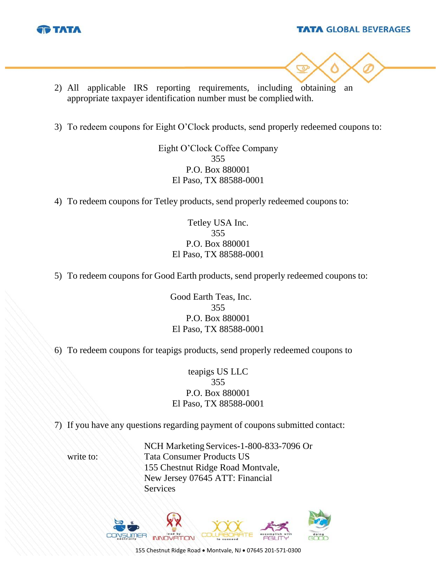

#### **TATA GLOBAL BEVERAGES**



- 2) All applicable IRS reporting requirements, including obtaining an appropriate taxpayer identification number must be compliedwith.
- 3) To redeem coupons for Eight O'Clock products, send properly redeemed coupons to:

Eight O'Clock Coffee Company 355 P.O. Box 880001 El Paso, TX 88588-0001

4) To redeem coupons for Tetley products, send properly redeemed coupons to:

Tetley USA Inc. 355 P.O. Box 880001 El Paso, TX 88588-0001

5) To redeem coupons for Good Earth products, send properly redeemed coupons to:

Good Earth Teas, Inc. 355 P.O. Box 880001 El Paso, TX 88588-0001

6) To redeem coupons for teapigs products, send properly redeemed coupons to

teapigs US LLC 355 P.O. Box 880001 El Paso, TX 88588-0001

7) If you have any questions regarding payment of coupons submitted contact:

NCH Marketing Services-1-800-833-7096 Or write to: Tata Consumer Products US 155 Chestnut Ridge Road Montvale, New Jersey 07645 ATT: Financial Services



155 Chestnut Ridge Road • Montvale, NJ • 07645 201-571-0300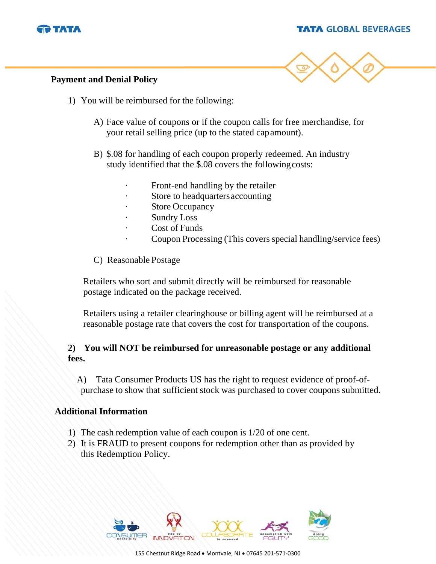

#### **TATA GLOBAL BEVERAGES**



## **Payment and Denial Policy**

- 1) You will be reimbursed for the following:
	- A) Face value of coupons or if the coupon calls for free merchandise, for your retail selling price (up to the stated capamount).
	- B) \$.08 for handling of each coupon properly redeemed. An industry study identified that the \$.08 covers the followingcosts:
		- Front-end handling by the retailer
		- Store to headquarters accounting
		- Store Occupancy
		- **Sundry Loss**
		- Cost of Funds
		- Coupon Processing (This covers special handling/service fees)
	- C) Reasonable Postage

Retailers who sort and submit directly will be reimbursed for reasonable postage indicated on the package received.

Retailers using a retailer clearinghouse or billing agent will be reimbursed at a reasonable postage rate that covers the cost for transportation of the coupons.

# **2) You will NOT be reimbursed for unreasonable postage or any additional fees.**

A) Tata Consumer Products US has the right to request evidence of proof-ofpurchase to show that sufficient stock was purchased to cover coupons submitted.

## **Additional Information**

- 1) The cash redemption value of each coupon is 1/20 of one cent.
- 2) It is FRAUD to present coupons for redemption other than as provided by this Redemption Policy.